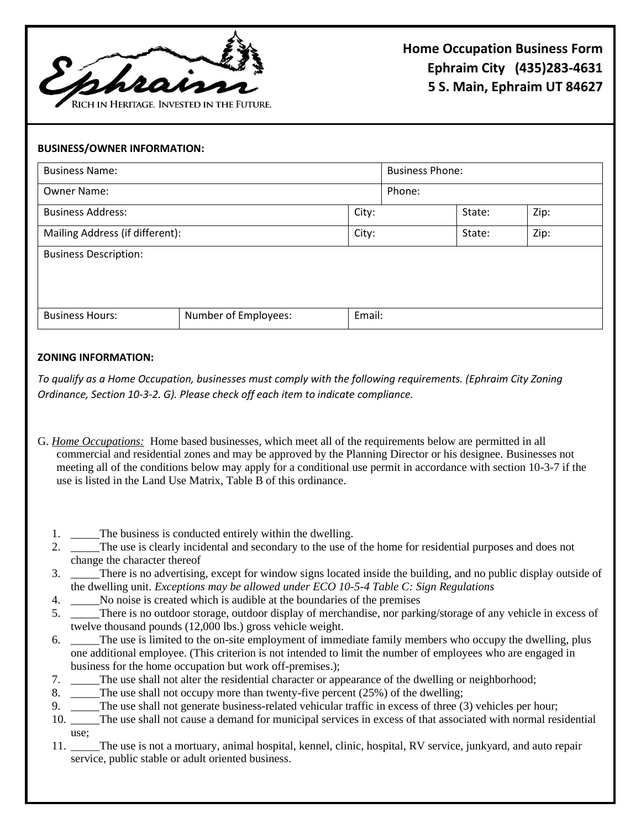

## **BUSINESS/OWNER INFORMATION:**

| <b>Business Name:</b>           |                      | <b>Business Phone:</b> |        |        |      |
|---------------------------------|----------------------|------------------------|--------|--------|------|
| <b>Owner Name:</b>              |                      |                        | Phone: |        |      |
| <b>Business Address:</b>        |                      | City:                  |        | State: | Zip: |
| Mailing Address (if different): |                      | City:                  |        | State: | Zip: |
| <b>Business Description:</b>    |                      |                        |        |        |      |
|                                 |                      |                        |        |        |      |
|                                 |                      |                        |        |        |      |
| <b>Business Hours:</b>          | Number of Employees: | Email:                 |        |        |      |

## **ZONING INFORMATION:**

*To qualify as a Home Occupation, businesses must comply with the following requirements. (Ephraim City Zoning Ordinance, Section 10-3-2. G). Please check off each item to indicate compliance.* 

G. *Home Occupations:* Home based businesses, which meet all of the requirements below are permitted in all commercial and residential zones and may be approved by the Planning Director or his designee. Businesses not meeting all of the conditions below may apply for a conditional use permit in accordance with section 10-3-7 if the use is listed in the Land Use Matrix, Table B of this ordinance.

- 1. The business is conducted entirely within the dwelling.
- 2. \_\_\_\_The use is clearly incidental and secondary to the use of the home for residential purposes and does not change the character thereof
- 3. \_\_\_\_\_There is no advertising, except for window signs located inside the building, and no public display outside of the dwelling unit. *Exceptions may be allowed under ECO 10-5-4 Table C: Sign Regulations*
- 4. \_\_\_\_\_No noise is created which is audible at the boundaries of the premises
- 5. \_\_\_\_\_There is no outdoor storage, outdoor display of merchandise, nor parking/storage of any vehicle in excess of twelve thousand pounds (12,000 lbs.) gross vehicle weight.
- 6. \_\_\_\_\_The use is limited to the on-site employment of immediate family members who occupy the dwelling, plus one additional employee. (This criterion is not intended to limit the number of employees who are engaged in business for the home occupation but work off-premises.);
- 7. \_\_\_\_\_The use shall not alter the residential character or appearance of the dwelling or neighborhood;
- 8. The use shall not occupy more than twenty-five percent (25%) of the dwelling;
- 9. The use shall not generate business-related vehicular traffic in excess of three (3) vehicles per hour;
- 10. \_\_\_\_\_The use shall not cause a demand for municipal services in excess of that associated with normal residential use;
- 11. \_\_\_\_\_The use is not a mortuary, animal hospital, kennel, clinic, hospital, RV service, junkyard, and auto repair service, public stable or adult oriented business.